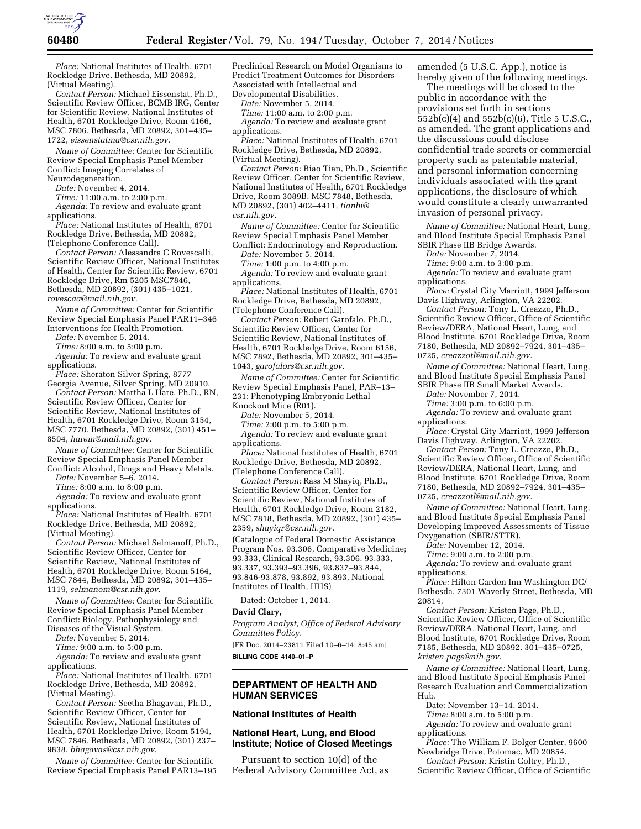

*Place:* National Institutes of Health, 6701 Rockledge Drive, Bethesda, MD 20892, (Virtual Meeting).

*Contact Person:* Michael Eissenstat, Ph.D., Scientific Review Officer, BCMB IRG, Center for Scientific Review, National Institutes of Health, 6701 Rockledge Drive, Room 4166, MSC 7806, Bethesda, MD 20892, 301–435– 1722, *[eissenstatma@csr.nih.gov.](mailto:eissenstatma@csr.nih.gov)* 

*Name of Committee:* Center for Scientific Review Special Emphasis Panel Member Conflict: Imaging Correlates of Neurodegeneration.

*Date:* November 4, 2014.

*Time:* 11:00 a.m. to 2:00 p.m.

*Agenda:* To review and evaluate grant applications.

*Place:* National Institutes of Health, 6701 Rockledge Drive, Bethesda, MD 20892, (Telephone Conference Call).

*Contact Person:* Alessandra C Rovescalli, Scientific Review Officer, National Institutes of Health, Center for Scientific Review, 6701 Rockledge Drive, Rm 5205 MSC7846, Bethesda, MD 20892, (301) 435–1021, *[rovescaa@mail.nih.gov.](mailto:rovescaa@mail.nih.gov)* 

*Name of Committee:* Center for Scientific Review Special Emphasis Panel PAR11–346 Interventions for Health Promotion.

*Date:* November 5, 2014.

*Time:* 8:00 a.m. to 5:00 p.m.

Agenda: To review and evaluate grant applications.

*Place:* Sheraton Silver Spring, 8777 Georgia Avenue, Silver Spring, MD 20910. *Contact Person:* Martha L Hare, Ph.D., RN,

Scientific Review Officer, Center for Scientific Review, National Institutes of Health, 6701 Rockledge Drive, Room 3154, MSC 7770, Bethesda, MD 20892, (301) 451– 8504, *[harem@mail.nih.gov.](mailto:harem@mail.nih.gov)* 

*Name of Committee:* Center for Scientific Review Special Emphasis Panel Member Conflict: Alcohol, Drugs and Heavy Metals.

*Date:* November 5–6, 2014.

*Time:* 8:00 a.m. to 8:00 p.m.

*Agenda:* To review and evaluate grant applications.

*Place:* National Institutes of Health, 6701 Rockledge Drive, Bethesda, MD 20892, (Virtual Meeting).

*Contact Person:* Michael Selmanoff, Ph.D., Scientific Review Officer, Center for Scientific Review, National Institutes of Health, 6701 Rockledge Drive, Room 5164, MSC 7844, Bethesda, MD 20892, 301–435– 1119, *[selmanom@csr.nih.gov.](mailto:selmanom@csr.nih.gov)* 

*Name of Committee:* Center for Scientific Review Special Emphasis Panel Member Conflict: Biology, Pathophysiology and Diseases of the Visual System.

*Date:* November 5, 2014.

*Time:* 9:00 a.m. to 5:00 p.m.

*Agenda:* To review and evaluate grant applications.

*Place:* National Institutes of Health, 6701 Rockledge Drive, Bethesda, MD 20892, (Virtual Meeting).

*Contact Person:* Seetha Bhagavan, Ph.D., Scientific Review Officer, Center for Scientific Review, National Institutes of Health, 6701 Rockledge Drive, Room 5194, MSC 7846, Bethesda, MD 20892, (301) 237– 9838, *[bhagavas@csr.nih.gov.](mailto:bhagavas@csr.nih.gov)* 

*Name of Committee:* Center for Scientific Review Special Emphasis Panel PAR13–195 Preclinical Research on Model Organisms to Predict Treatment Outcomes for Disorders Associated with Intellectual and Developmental Disabilities.

*Date:* November 5, 2014.

*Time:* 11:00 a.m. to 2:00 p.m.

*Agenda:* To review and evaluate grant applications.

*Place:* National Institutes of Health, 6701 Rockledge Drive, Bethesda, MD 20892, (Virtual Meeting).

*Contact Person:* Biao Tian, Ph.D., Scientific Review Officer, Center for Scientific Review, National Institutes of Health, 6701 Rockledge Drive, Room 3089B, MSC 7848, Bethesda, MD 20892, (301) 402–4411, *[tianbi@](mailto:tianbi@csr.nih.gov) [csr.nih.gov.](mailto:tianbi@csr.nih.gov)* 

*Name of Committee:* Center for Scientific Review Special Emphasis Panel Member Conflict: Endocrinology and Reproduction.

*Date:* November 5, 2014.

*Time:* 1:00 p.m. to 4:00 p.m.

*Agenda:* To review and evaluate grant applications.

*Place:* National Institutes of Health, 6701 Rockledge Drive, Bethesda, MD 20892, (Telephone Conference Call).

*Contact Person:* Robert Garofalo, Ph.D., Scientific Review Officer, Center for Scientific Review, National Institutes of Health, 6701 Rockledge Drive, Room 6156, MSC 7892, Bethesda, MD 20892, 301–435– 1043, *[garofalors@csr.nih.gov.](mailto:garofalors@csr.nih.gov)* 

*Name of Committee:* Center for Scientific Review Special Emphasis Panel, PAR–13– 231: Phenotyping Embryonic Lethal Knockout Mice (R01).

*Date:* November 5, 2014.

*Time:* 2:00 p.m. to 5:00 p.m.

*Agenda:* To review and evaluate grant applications.

*Place:* National Institutes of Health, 6701 Rockledge Drive, Bethesda, MD 20892, (Telephone Conference Call).

*Contact Person:* Rass M Shayiq, Ph.D., Scientific Review Officer, Center for Scientific Review, National Institutes of Health, 6701 Rockledge Drive, Room 2182, MSC 7818, Bethesda, MD 20892, (301) 435– 2359, *[shayiqr@csr.nih.gov.](mailto:shayiqr@csr.nih.gov)* 

(Catalogue of Federal Domestic Assistance Program Nos. 93.306, Comparative Medicine; 93.333, Clinical Research, 93.306, 93.333, 93.337, 93.393–93.396, 93.837–93.844, 93.846-93.878, 93.892, 93.893, National Institutes of Health, HHS)

Dated: October 1, 2014.

### **David Clary,**

*Program Analyst, Office of Federal Advisory Committee Policy.* 

[FR Doc. 2014–23811 Filed 10–6–14; 8:45 am] **BILLING CODE 4140–01–P** 

## **DEPARTMENT OF HEALTH AND HUMAN SERVICES**

# **National Institutes of Health**

## **National Heart, Lung, and Blood Institute; Notice of Closed Meetings**

Pursuant to section 10(d) of the Federal Advisory Committee Act, as amended (5 U.S.C. App.), notice is hereby given of the following meetings.

The meetings will be closed to the public in accordance with the provisions set forth in sections 552b(c)(4) and 552b(c)(6), Title 5 U.S.C., as amended. The grant applications and the discussions could disclose confidential trade secrets or commercial property such as patentable material, and personal information concerning individuals associated with the grant applications, the disclosure of which would constitute a clearly unwarranted invasion of personal privacy.

*Name of Committee:* National Heart, Lung, and Blood Institute Special Emphasis Panel SBIR Phase IIB Bridge Awards.

*Date:* November 7, 2014.

*Time:* 9:00 a.m. to 3:00 p.m.

*Agenda:* To review and evaluate grant applications.

*Place:* Crystal City Marriott, 1999 Jefferson Davis Highway, Arlington, VA 22202.

*Contact Person:* Tony L. Creazzo, Ph.D., Scientific Review Officer, Office of Scientific Review/DERA, National Heart, Lung, and Blood Institute, 6701 Rockledge Drive, Room 7180, Bethesda, MD 20892–7924, 301–435– 0725, *[creazzotl@mail.nih.gov.](mailto:creazzotl@mail.nih.gov)* 

*Name of Committee:* National Heart, Lung, and Blood Institute Special Emphasis Panel SBIR Phase IIB Small Market Awards.

*Date:* November 7, 2014.

*Time:* 3:00 p.m. to 6:00 p.m. Agenda: To review and evaluate grant

applications.

*Place:* Crystal City Marriott, 1999 Jefferson Davis Highway, Arlington, VA 22202.

*Contact Person:* Tony L. Creazzo, Ph.D., Scientific Review Officer, Office of Scientific Review/DERA, National Heart, Lung, and Blood Institute, 6701 Rockledge Drive, Room 7180, Bethesda, MD 20892–7924, 301–435– 0725, *[creazzotl@mail.nih.gov.](mailto:creazzotl@mail.nih.gov)* 

*Name of Committee:* National Heart, Lung, and Blood Institute Special Emphasis Panel Developing Improved Assessments of Tissue Oxygenation (SBIR/STTR).

*Date:* November 12, 2014.

*Time:* 9:00 a.m. to 2:00 p.m. *Agenda:* To review and evaluate grant

applications. *Place:* Hilton Garden Inn Washington DC/ Bethesda, 7301 Waverly Street, Bethesda, MD

20814. *Contact Person:* Kristen Page, Ph.D., Scientific Review Officer, Office of Scientific Review/DERA, National Heart, Lung, and Blood Institute, 6701 Rockledge Drive, Room 7185, Bethesda, MD 20892, 301–435–0725, *[kristen.page@nih.gov.](mailto:kristen.page@nih.gov)* 

*Name of Committee:* National Heart, Lung, and Blood Institute Special Emphasis Panel Research Evaluation and Commercialization Hub.

Date: November 13–14, 2014.

*Time:* 8:00 a.m. to 5:00 p.m.

*Agenda:* To review and evaluate grant applications.

*Place:* The William F. Bolger Center, 9600 Newbridge Drive, Potomac, MD 20854.

*Contact Person:* Kristin Goltry, Ph.D., Scientific Review Officer, Office of Scientific